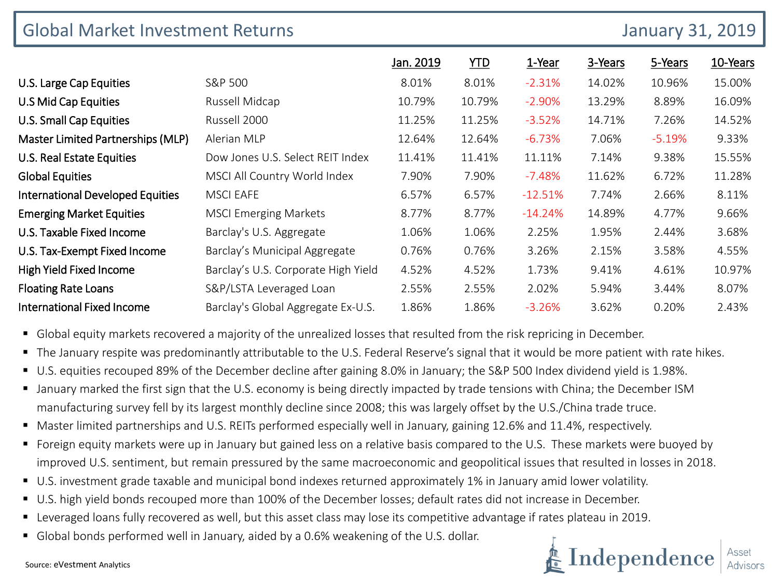| <b>Global Market Investment Returns</b> |                                     | <b>January 31, 2019</b> |            |           |         |          |          |
|-----------------------------------------|-------------------------------------|-------------------------|------------|-----------|---------|----------|----------|
|                                         |                                     | Jan. 2019               | <u>YTD</u> | 1-Year    | 3-Years | 5-Years  | 10-Years |
| U.S. Large Cap Equities                 | S&P 500                             | 8.01%                   | 8.01%      | $-2.31%$  | 14.02%  | 10.96%   | 15.00%   |
| U.S Mid Cap Equities                    | Russell Midcap                      | 10.79%                  | 10.79%     | $-2.90%$  | 13.29%  | 8.89%    | 16.09%   |
| U.S. Small Cap Equities                 | Russell 2000                        | 11.25%                  | 11.25%     | $-3.52%$  | 14.71%  | 7.26%    | 14.52%   |
| Master Limited Partnerships (MLP)       | Alerian MLP                         | 12.64%                  | 12.64%     | $-6.73%$  | 7.06%   | $-5.19%$ | 9.33%    |
| U.S. Real Estate Equities               | Dow Jones U.S. Select REIT Index    | 11.41%                  | 11.41%     | 11.11%    | 7.14%   | 9.38%    | 15.55%   |
| <b>Global Equities</b>                  | MSCI All Country World Index        | 7.90%                   | 7.90%      | $-7.48%$  | 11.62%  | 6.72%    | 11.28%   |
| <b>International Developed Equities</b> | <b>MSCI EAFE</b>                    | 6.57%                   | 6.57%      | $-12.51%$ | 7.74%   | 2.66%    | 8.11%    |
| <b>Emerging Market Equities</b>         | <b>MSCI Emerging Markets</b>        | 8.77%                   | 8.77%      | $-14.24%$ | 14.89%  | 4.77%    | 9.66%    |
| U.S. Taxable Fixed Income               | Barclay's U.S. Aggregate            | 1.06%                   | 1.06%      | 2.25%     | 1.95%   | 2.44%    | 3.68%    |
| U.S. Tax-Exempt Fixed Income            | Barclay's Municipal Aggregate       | 0.76%                   | 0.76%      | 3.26%     | 2.15%   | 3.58%    | 4.55%    |
| High Yield Fixed Income                 | Barclay's U.S. Corporate High Yield | 4.52%                   | 4.52%      | 1.73%     | 9.41%   | 4.61%    | 10.97%   |
| <b>Floating Rate Loans</b>              | S&P/LSTA Leveraged Loan             | 2.55%                   | 2.55%      | 2.02%     | 5.94%   | 3.44%    | 8.07%    |
| <b>International Fixed Income</b>       | Barclay's Global Aggregate Ex-U.S.  | 1.86%                   | 1.86%      | $-3.26%$  | 3.62%   | 0.20%    | 2.43%    |

Global equity markets recovered a majority of the unrealized losses that resulted from the risk repricing in December.

- The January respite was predominantly attributable to the U.S. Federal Reserve's signal that it would be more patient with rate hikes.
- U.S. equities recouped 89% of the December decline after gaining 8.0% in January; the S&P 500 Index dividend yield is 1.98%.
- January marked the first sign that the U.S. economy is being directly impacted by trade tensions with China; the December ISM manufacturing survey fell by its largest monthly decline since 2008; this was largely offset by the U.S./China trade truce.
- Master limited partnerships and U.S. REITs performed especially well in January, gaining 12.6% and 11.4%, respectively.
- Foreign equity markets were up in January but gained less on a relative basis compared to the U.S. These markets were buoyed by improved U.S. sentiment, but remain pressured by the same macroeconomic and geopolitical issues that resulted in losses in 2018.
- U.S. investment grade taxable and municipal bond indexes returned approximately 1% in January amid lower volatility.
- U.S. high yield bonds recouped more than 100% of the December losses; default rates did not increase in December.
- Leveraged loans fully recovered as well, but this asset class may lose its competitive advantage if rates plateau in 2019.
- Global bonds performed well in January, aided by a 0.6% weakening of the U.S. dollar.



Source: eVestment Analytics